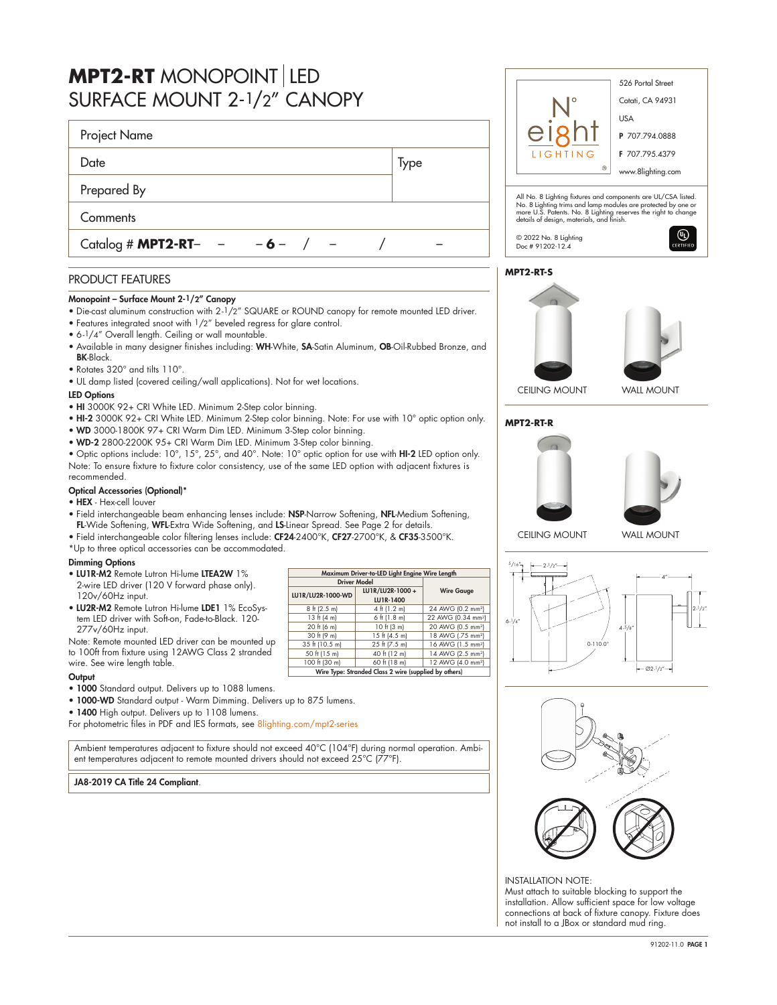| <b>MPT2-RT</b> MONOPOINT LED<br>SURFACE MOUNT 2-1/2" CANOPY |      | 526 Portal Street<br>Cotati, CA 94931                                                                                                                                    |
|-------------------------------------------------------------|------|--------------------------------------------------------------------------------------------------------------------------------------------------------------------------|
| Project Name                                                |      | <b>USA</b><br>P 707.794.0888                                                                                                                                             |
| Date                                                        | Type | LIGHTING<br>F 707.795.4379<br>$^{\circ}$<br>www.8lighting.com                                                                                                            |
| Prepared By                                                 |      | All No. 8 Lighting fixtures and components are UL/CSA liste                                                                                                              |
| Comments                                                    |      | No. 8 Lighting trims and lamp modules are protected by one<br>more U.S. Patents. No. 8 Lighting reserves the right to chang<br>details of design, materials, and finish. |
| Catalog # <b>MPT2-RT</b> - - - 6-                           |      | $^{\circledR}$<br>© 2022 No. 8 Lighting<br>CERTIFIE<br>Doc # 91202-12.4                                                                                                  |
| <b>PRODUCT FEATURES</b>                                     |      | <b>MPT2-RT-S</b>                                                                                                                                                         |

# Monopoint – Surface Mount 2-1/2" Canopy

- Die-cast aluminum construction with 2-1/2" SQUARE or ROUND canopy for remote mounted LED driver.
- Features integrated snoot with 1/2" beveled regress for glare control.
- 6-1/4" Overall length. Ceiling or wall mountable.
- Available in many designer finishes including: WH-White, SA-Satin Aluminum, OB-Oil-Rubbed Bronze, and BK-Black.
- Rotates 320° and tilts 110°.
- UL damp listed (covered ceiling/wall applications). Not for wet locations.

### LED Options

- HI 3000K 92+ CRI White LED. Minimum 2-Step color binning.
- HI-2 3000K 92+ CRI White LED. Minimum 2-Step color binning. Note: For use with 10° optic option only.
- WD 3000-1800K 97+ CRI Warm Dim LED. Minimum 3-Step color binning.
- WD-2 2800-2200K 95+ CRI Warm Dim LED. Minimum 3-Step color binning.

• Optic options include: 10°, 15°, 25°, and 40°. Note: 10° optic option for use with HI-2 LED option only. Note: To ensure fixture to fixture color consistency, use of the same LED option with adjacent fixtures is recommended.

## Optical Accessories (Optional)\*

- HEX Hex-cell louver
- Field interchangeable beam enhancing lenses include: NSP-Narrow Softening, NFL-Medium Softening, FL-Wide Softening, WFL-Extra Wide Softening, and LS-Linear Spread. See Page 2 for details.
- Field interchangeable color filtering lenses include: CF24-2400°K, CF27-2700°K, & CF35-3500°K.
- \*Up to three optical accessories can be accommodated.

### Dimming Options

- LU1R-M2 Remote Lutron Hi-lume LTEA2W 1% 2-wire LED driver (120 V forward phase only). 120v/60Hz input.
- LU2R-M2 Remote Lutron Hi-lume LDE1 1% EcoSystem LED driver with Soft-on, Fade-to-Black. 120- 277v/60Hz input.

| Maximum Driver-to-LED Light Engine Wire Length        |                 |                                                                                                                                   |  |  |  |  |  |  |
|-------------------------------------------------------|-----------------|-----------------------------------------------------------------------------------------------------------------------------------|--|--|--|--|--|--|
| <b>Driver Model</b>                                   |                 |                                                                                                                                   |  |  |  |  |  |  |
| LU1R/LU2R-1000-WD                                     | LU1R/LU2R-1000+ | <b>Wire Gauge</b>                                                                                                                 |  |  |  |  |  |  |
|                                                       | LU1R-1400       |                                                                                                                                   |  |  |  |  |  |  |
| $8 \text{ ft} (2.5 \text{ m})$                        | 4 ft (1.2 m)    | 24 AWG (0.2 mm <sup>2</sup> )                                                                                                     |  |  |  |  |  |  |
| 13 ft (4 m)                                           | $6$ ft (1.8 m)  | 22 AWG (0.34 mm <sup>2</sup> )<br>20 AWG (0.5 mm <sup>2</sup> )<br>18 AWG (.75 mm <sup>2</sup> )<br>16 AWG (1.5 mm <sup>2</sup> ) |  |  |  |  |  |  |
| 20 ft (6 m)                                           | 10 ft (3 m)     |                                                                                                                                   |  |  |  |  |  |  |
| 30 ft (9 m)                                           | 15 ft (4.5 m)   |                                                                                                                                   |  |  |  |  |  |  |
| 35 ft (10.5 m)                                        | 25 ft (7.5 m)   |                                                                                                                                   |  |  |  |  |  |  |
| 50 ft (15 m)                                          | 40 ft (12 m)    | 14 AWG (2.5 mm <sup>2</sup> )                                                                                                     |  |  |  |  |  |  |
| 100 ft (30 m)                                         | 60 ft (18 m)    | 12 AWG (4.0 mm <sup>2</sup> )                                                                                                     |  |  |  |  |  |  |
| Wire Type: Stranded Class 2 wire (supplied by others) |                 |                                                                                                                                   |  |  |  |  |  |  |

Note: Remote mounted LED driver can be mounted up to 100ft from fixture using 12AWG Class 2 stranded wire. See wire length table.

## **Output**

- 1000 Standard output. Delivers up to 1088 lumens.
- 1000-WD Standard output Warm Dimming. Delivers up to 875 lumens.
- 1400 High output. Delivers up to 1108 lumens.

For photometric files in PDF and IES formats, see [8lighting.com/mpt2-series](https://8lighting.com/mpt2-series/)

Ambient temperatures adjacent to fixture should not exceed 40°C (104°F) during normal operation. Ambient temperatures adjacent to remote mounted drivers should not exceed 25°C (77°F).

# JA8-2019 CA Title 24 Compliant.





# **MPT2-RT-R**





CEILING MOUNT WALL MOUNT





INSTALLATION NOTE: Must attach to suitable blocking to support the installation. Allow sufficient space for low voltage connections at back of fixture canopy. Fixture does not install to a JBox or standard mud ring.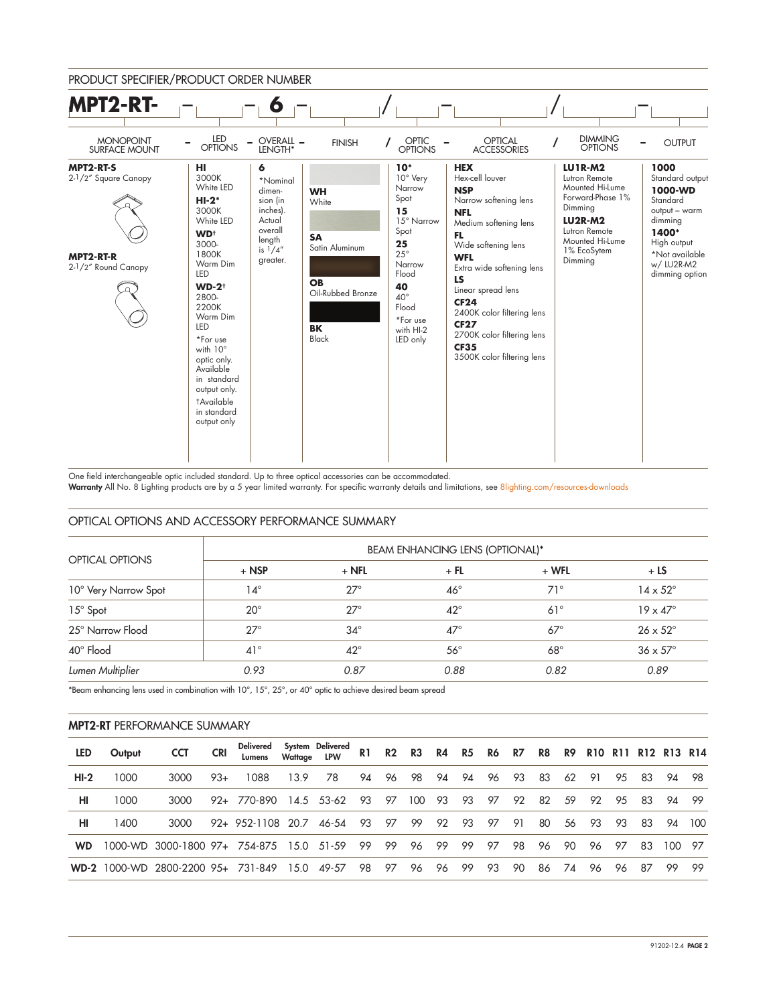

One field interchangeable optic included standard. Up to three optical accessories can be accommodated.

Warranty All No. 8 Lighting products are by a 5 year limited warranty. For specific warranty details and limitations, see [8lighting.com/resources-downloads](https://8lighting.com/resources-downloads/)

## OPTICAL OPTIONS AND ACCESSORY PERFORMANCE SUMMARY

| <b>OPTICAL OPTIONS</b> | <b>BEAM ENHANCING LENS (OPTIONAL)*</b> |              |              |            |                        |  |  |  |  |  |
|------------------------|----------------------------------------|--------------|--------------|------------|------------------------|--|--|--|--|--|
|                        | $+$ NSP                                | $+$ NFL      | $+$ FL       | $+ WFL$    | $+LS$                  |  |  |  |  |  |
| 10° Very Narrow Spot   | 14°                                    | $27^\circ$   | $46^{\circ}$ | $71^\circ$ | $14 \times 52^{\circ}$ |  |  |  |  |  |
| 15° Spot               | $20^{\circ}$                           | $27^\circ$   | $42^{\circ}$ | $61^\circ$ | $19 \times 47^\circ$   |  |  |  |  |  |
| 25° Narrow Flood       | $27^\circ$                             | $34^\circ$   | $47^\circ$   | $67^\circ$ | $26 \times 52^{\circ}$ |  |  |  |  |  |
| 40° Flood              | $41^{\circ}$                           | $42^{\circ}$ | $56^{\circ}$ | $68^\circ$ | $36 \times 57^\circ$   |  |  |  |  |  |
| Lumen Multiplier       | 0.93                                   | 0.87         | 0.88         | 0.82       | 0.89                   |  |  |  |  |  |

\*Beam enhancing lens used in combination with 10°, 15°, 25°, or 40° optic to achieve desired beam spread

# MPT2-RT PERFORMANCE SUMMARY

| <b>LED</b> | Output | <b>CCT</b>                               | <b>CRI</b> | Delivered         | Wattage LPW | System Delivered | R <sub>1</sub> | R2   | R3  |      |      | R4 R5 R6 R7 |      | R8  |    | R9 R10 R11 R12 R13 R14 |     |      |        |        |
|------------|--------|------------------------------------------|------------|-------------------|-------------|------------------|----------------|------|-----|------|------|-------------|------|-----|----|------------------------|-----|------|--------|--------|
| $HI-2$     | 1000   | 3000                                     | $93+$      | 1088              | 13.9        | 78               | 94             | 96   | 98  | 94   | 94   | - 96        | - 93 | -83 | 62 | -91                    | 95  | - 83 | 94 98  |        |
| HI         | 1000   | 3000                                     |            | $92 + 770 - 890$  |             | 14.5 53-62       | 93             | 97   | 100 | 93   | 93   | 97          | 92   | 82  | 59 | 92                     | 95  | 83   | 94     | - 99   |
| HI         | 1400   | 3000                                     |            | 92+ 952-1108 20.7 |             | 46-54            | 93             | 97   | 99  | 92   | - 93 | 97          | -91  | 80  | 56 | - 93                   | -93 | -83  |        | 94 100 |
| <b>WD</b>  |        | 1000-WD 3000-1800 97+ 754-875 15.0 51-59 |            |                   |             |                  | - 99           | - 99 | 96  | - 99 | -99  | 97          | 98   | 96  | 90 | 96                     | 97  | 83   | 100 97 |        |
|            |        | WD-2 1000-WD 2800-2200 95+ 731-849       |            |                   |             | 15.0 49-57       | 98             | 97   | 96  | 96   | 99   | 93          | 90   | 86  | 74 | 96                     | 96  | 87   | 99     | - 99   |